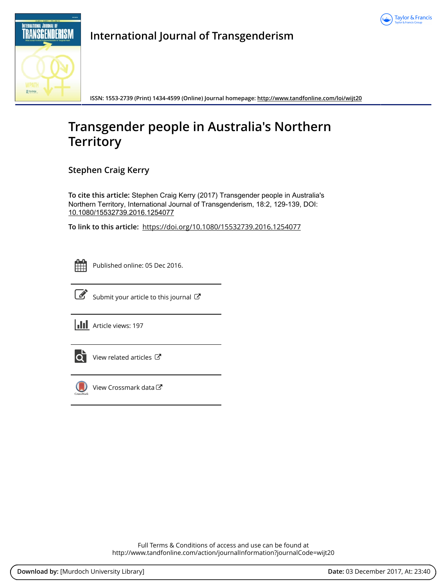



**International Journal of Transgenderism**

**ISSN: 1553-2739 (Print) 1434-4599 (Online) Journal homepage:<http://www.tandfonline.com/loi/wijt20>**

# **Transgender people in Australia's Northern Territory**

**Stephen Craig Kerry**

**To cite this article:** Stephen Craig Kerry (2017) Transgender people in Australia's Northern Territory, International Journal of Transgenderism, 18:2, 129-139, DOI: [10.1080/15532739.2016.1254077](http://www.tandfonline.com/action/showCitFormats?doi=10.1080/15532739.2016.1254077)

**To link to this article:** <https://doi.org/10.1080/15532739.2016.1254077>

| --<br>_ |  |  |  |  |  |  |
|---------|--|--|--|--|--|--|
|         |  |  |  |  |  |  |
|         |  |  |  |  |  |  |
|         |  |  |  |  |  |  |

Published online: 05 Dec 2016.



 $\overrightarrow{S}$  [Submit your article to this journal](http://www.tandfonline.com/action/authorSubmission?journalCode=wijt20&show=instructions)  $\overrightarrow{S}$ 

**III** Article views: 197



 $\overline{Q}$  [View related articles](http://www.tandfonline.com/doi/mlt/10.1080/15532739.2016.1254077)  $\overline{C}$ 



[View Crossmark data](http://crossmark.crossref.org/dialog/?doi=10.1080/15532739.2016.1254077&domain=pdf&date_stamp=2016-12-05)  $\sigma$ 

Full Terms & Conditions of access and use can be found at <http://www.tandfonline.com/action/journalInformation?journalCode=wijt20>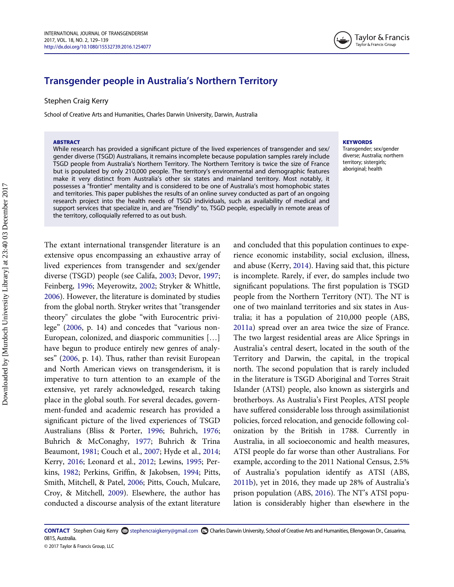## Transgender people in Australia's Northern Territory

Stephen Craig Kerry

School of Creative Arts and Humanities, Charles Darwin University, Darwin, Australia

#### **ABSTRACT**

While research has provided a significant picture of the lived experiences of transgender and sex/ gender diverse (TSGD) Australians, it remains incomplete because population samples rarely include TSGD people from Australia's Northern Territory. The Northern Territory is twice the size of France but is populated by only 210,000 people. The territory's environmental and demographic features make it very distinct from Australia's other six states and mainland territory. Most notably, it possesses a "frontier" mentality and is considered to be one of Australia's most homophobic states and territories. This paper publishes the results of an online survey conducted as part of an ongoing research project into the health needs of TSGD individuals, such as availability of medical and support services that specialize in, and are "friendly" to, TSGD people, especially in remote areas of the territory, colloquially referred to as out bush.

The extant international transgender literature is an extensive opus encompassing an exhaustive array of lived experiences from transgender and sex/gender diverse (TSGD) people (see Califa, [2003;](#page-10-0) Devor, [1997;](#page-10-1) Feinberg, [1996;](#page-10-2) Meyerowitz, [2002](#page-11-0); Stryker & Whittle, [2006\)](#page-11-1). However, the literature is dominated by studies from the global north. Stryker writes that "transgender theory" circulates the globe "with Eurocentric privilege" [\(2006](#page-11-2), p. 14) and concedes that "various non-European, colonized, and diasporic communities […] have begun to produce entirely new genres of analyses" ([2006,](#page-11-2) p. 14). Thus, rather than revisit European and North American views on transgenderism, it is imperative to turn attention to an example of the extensive, yet rarely acknowledged, research taking place in the global south. For several decades, government-funded and academic research has provided a significant picture of the lived experiences of TSGD Australians (Bliss & Porter, [1996;](#page-10-3) Buhrich, [1976;](#page-10-4) Buhrich & McConaghy, [1977](#page-10-5); Buhrich & Trina Beaumont, [1981](#page-10-6); Couch et al., [2007](#page-10-7); Hyde et al., [2014;](#page-10-8) Kerry, [2016;](#page-10-9) Leonard et al., [2012;](#page-11-3) Lewins, [1995](#page-11-4); Perkins, [1982;](#page-11-5) Perkins, Griffin, & Jakobsen, [1994](#page-11-6); Pitts, Smith, Mitchell, & Patel, [2006;](#page-11-7) Pitts, Couch, Mulcare, Croy, & Mitchell, [2009\)](#page-11-8). Elsewhere, the author has conducted a discourse analysis of the extant literature and concluded that this population continues to experience economic instability, social exclusion, illness, and abuse (Kerry, [2014](#page-10-10)). Having said that, this picture is incomplete. Rarely, if ever, do samples include two significant populations. The first population is TSGD people from the Northern Territory (NT). The NT is one of two mainland territories and six states in Australia; it has a population of 210,000 people (ABS, [2011a\)](#page-10-11) spread over an area twice the size of France. The two largest residential areas are Alice Springs in Australia's central desert, located in the south of the Territory and Darwin, the capital, in the tropical north. The second population that is rarely included in the literature is TSGD Aboriginal and Torres Strait Islander (ATSI) people, also known as sistergirls and brotherboys. As Australia's First Peoples, ATSI people have suffered considerable loss through assimilationist policies, forced relocation, and genocide following colonization by the British in 1788. Currently in Australia, in all socioeconomic and health measures, ATSI people do far worse than other Australians. For example, according to the 2011 National Census, 2.5% of Australia's population identify as ATSI (ABS, [2011b](#page-10-12)), yet in 2016, they made up 28% of Australia's prison population (ABS, [2016\)](#page-10-13). The NT's ATSI population is considerably higher than elsewhere in the

### **KEYWORDS**

Transgender; sex/gender diverse; Australia; northern territory; sistergirls; aboriginal; health

CONTACT Stephen Craig Kerry & stephencraigkerry@gmail.com **CO** Charles Darwin University, School of Creative Arts and Humanities, Ellengowan Dr., Casuarina, 0815, Australia.

<sup>© 2017</sup> Taylor & Francis Group, LLC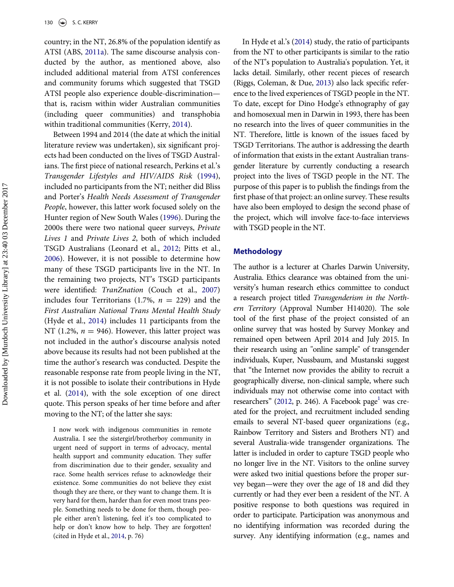country; in the NT, 26.8% of the population identify as ATSI (ABS, [2011a](#page-10-11)). The same discourse analysis conducted by the author, as mentioned above, also included additional material from ATSI conferences and community forums which suggested that TSGD ATSI people also experience double-discrimination that is, racism within wider Australian communities (including queer communities) and transphobia within traditional communities (Kerry, [2014](#page-10-10)).

Between 1994 and 2014 (the date at which the initial literature review was undertaken), six significant projects had been conducted on the lives of TSGD Australians. The first piece of national research, Perkins et al.'s Transgender Lifestyles and HIV/AIDS Risk ([1994\)](#page-11-6), included no participants from the NT; neither did Bliss and Porter's Health Needs Assessment of Transgender People, however, this latter work focused solely on the Hunter region of New South Wales ([1996](#page-10-3)). During the 2000s there were two national queer surveys, Private Lives 1 and Private Lives 2, both of which included TSGD Australians (Leonard et al., [2012](#page-11-3); Pitts et al., [2006\)](#page-11-7). However, it is not possible to determine how many of these TSGD participants live in the NT. In the remaining two projects, NT's TSGD participants were identified: TranZnation (Couch et al., [2007](#page-10-7)) includes four Territorians (1.7%,  $n = 229$ ) and the First Australian National Trans Mental Health Study (Hyde et al., [2014](#page-10-8)) includes 11 participants from the NT (1.2%,  $n = 946$ ). However, this latter project was not included in the author's discourse analysis noted above because its results had not been published at the time the author's research was conducted. Despite the reasonable response rate from people living in the NT, it is not possible to isolate their contributions in Hyde et al. ([2014\)](#page-10-8), with the sole exception of one direct quote. This person speaks of her time before and after moving to the NT; of the latter she says:

I now work with indigenous communities in remote Australia. I see the sistergirl/brotherboy community in urgent need of support in terms of advocacy, mental health support and community education. They suffer from discrimination due to their gender, sexuality and race. Some health services refuse to acknowledge their existence. Some communities do not believe they exist though they are there, or they want to change them. It is very hard for them, harder than for even most trans people. Something needs to be done for them, though people either aren't listening, feel it's too complicated to help or don't know how to help. They are forgotten! (cited in Hyde et al., [2014](#page-10-8), p. 76)

In Hyde et al.'s [\(2014\)](#page-10-8) study, the ratio of participants from the NT to other participants is similar to the ratio of the NT's population to Australia's population. Yet, it lacks detail. Similarly, other recent pieces of research (Riggs, Coleman, & Due, [2013\)](#page-11-9) also lack specific reference to the lived experiences of TSGD people in the NT. To date, except for Dino Hodge's ethnography of gay and homosexual men in Darwin in 1993, there has been no research into the lives of queer communities in the NT. Therefore, little is known of the issues faced by TSGD Territorians. The author is addressing the dearth of information that exists in the extant Australian transgender literature by currently conducting a research project into the lives of TSGD people in the NT. The purpose of this paper is to publish the findings from the first phase of that project: an online survey. These results have also been employed to design the second phase of the project, which will involve face-to-face interviews with TSGD people in the NT.

#### Methodology

The author is a lecturer at Charles Darwin University, Australia. Ethics clearance was obtained from the university's human research ethics committee to conduct a research project titled Transgenderism in the Northern Territory (Approval Number H14020). The sole tool of the first phase of the project consisted of an online survey that was hosted by Survey Monkey and remained open between April 2014 and July 2015. In their research using an "online sample" of transgender individuals, Kuper, Nussbaum, and Mustanski suggest that "the Internet now provides the ability to recruit a geographically diverse, non-clinical sample, where such individuals may not otherwise come into contact with researchers" [\(2012,](#page-11-10) p. 246). A Facebook page<sup>1</sup> was created for the project, and recruitment included sending emails to several NT-based queer organizations (e.g., Rainbow Territory and Sisters and Brothers NT) and several Australia-wide transgender organizations. The latter is included in order to capture TSGD people who no longer live in the NT. Visitors to the online survey were asked two initial questions before the proper survey began—were they over the age of 18 and did they currently or had they ever been a resident of the NT. A positive response to both questions was required in order to participate. Participation was anonymous and no identifying information was recorded during the survey. Any identifying information (e.g., names and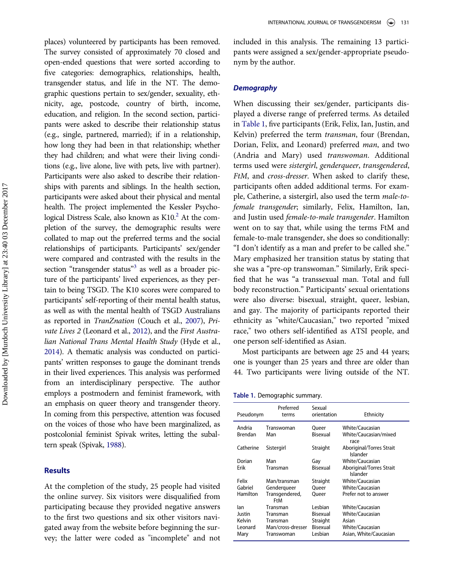places) volunteered by participants has been removed. The survey consisted of approximately 70 closed and open-ended questions that were sorted according to five categories: demographics, relationships, health, transgender status, and life in the NT. The demographic questions pertain to sex/gender, sexuality, ethnicity, age, postcode, country of birth, income, education, and religion. In the second section, participants were asked to describe their relationship status (e.g., single, partnered, married); if in a relationship, how long they had been in that relationship; whether they had children; and what were their living conditions (e.g., live alone, live with pets, live with partner). Participants were also asked to describe their relationships with parents and siblings. In the health section, participants were asked about their physical and mental health. The project implemented the Kessler Psychological Distress Scale, also known as  $K10<sup>2</sup>$  At the completion of the survey, the demographic results were collated to map out the preferred terms and the social relationships of participants. Participants' sex/gender were compared and contrasted with the results in the section "transgender status"<sup>[3](#page-10-16)</sup> as well as a broader picture of the participants' lived experiences, as they pertain to being TSGD. The K10 scores were compared to participants' self-reporting of their mental health status, as well as with the mental health of TSGD Australians as reported in TranZnation (Couch et al., [2007](#page-10-7)), Private Lives 2 (Leonard et al., [2012](#page-11-3)), and the First Australian National Trans Mental Health Study (Hyde et al., [2014](#page-10-8)). A thematic analysis was conducted on participants' written responses to gauge the dominant trends in their lived experiences. This analysis was performed from an interdisciplinary perspective. The author employs a postmodern and feminist framework, with an emphasis on queer theory and transgender theory. In coming from this perspective, attention was focused on the voices of those who have been marginalized, as postcolonial feminist Spivak writes, letting the subaltern speak (Spivak, [1988](#page-11-11)).

## <span id="page-3-0"></span>Results

At the completion of the study, 25 people had visited the online survey. Six visitors were disqualified from participating because they provided negative answers to the first two questions and six other visitors navigated away from the website before beginning the survey; the latter were coded as "incomplete" and not included in this analysis. The remaining 13 participants were assigned a sex/gender-appropriate pseudonym by the author.

#### **Demography**

When discussing their sex/gender, participants displayed a diverse range of preferred terms. As detailed in [Table 1,](#page-3-0) five participants (Erik, Felix, Ian, Justin, and Kelvin) preferred the term transman, four (Brendan, Dorian, Felix, and Leonard) preferred man, and two (Andria and Mary) used transwoman. Additional terms used were sistergirl, genderqueer, transgendered, FtM, and cross-dresser. When asked to clarify these, participants often added additional terms. For example, Catherine, a sistergirl, also used the term male-tofemale transgender; similarly, Felix, Hamilton, Ian, and Justin used female-to-male transgender. Hamilton went on to say that, while using the terms FtM and female-to-male transgender, she does so conditionally: "I don't identify as a man and prefer to be called she." Mary emphasized her transition status by stating that she was a "pre-op transwoman." Similarly, Erik specified that he was "a transsexual man. Total and full body reconstruction." Participants' sexual orientations were also diverse: bisexual, straight, queer, lesbian, and gay. The majority of participants reported their ethnicity as "white/Caucasian," two reported "mixed race," two others self-identified as ATSI people, and one person self-identified as Asian.

Most participants are between age 25 and 44 years; one is younger than 25 years and three are older than 44. Two participants were living outside of the NT.

|  |  | Table 1. Demographic summary. |  |
|--|--|-------------------------------|--|
|--|--|-------------------------------|--|

| Pseudonym      | Preferred<br>terms    | Sexual<br>orientation | Ethnicity                            |
|----------------|-----------------------|-----------------------|--------------------------------------|
| Andria         | Transwoman            | Oueer                 | White/Caucasian                      |
| <b>Brendan</b> | Man                   | Bisexual              | White/Caucasian/mixed<br>race        |
| Catherine      | Sistergirl            | Straight              | Aboriginal/Torres Strait<br>Islander |
| Dorian         | Man                   | Gay                   | White/Caucasian                      |
| Erik           | Transman              | Bisexual              | Aboriginal/Torres Strait<br>Islander |
| Felix          | Man/transman          | Straight              | White/Caucasian                      |
| Gabriel        | Gendergueer           | Oueer                 | White/Caucasian                      |
| Hamilton       | Transgendered,<br>FtM | Oueer                 | Prefer not to answer                 |
| lan            | Transman              | Lesbian               | White/Caucasian                      |
| Justin         | Transman              | Bisexual              | White/Caucasian                      |
| Kelvin         | Transman              | Straight              | Asian                                |
| Leonard        | Man/cross-dresser     | Bisexual              | White/Caucasian                      |
| Mary           | Transwoman            | Lesbian               | Asian, White/Caucasian               |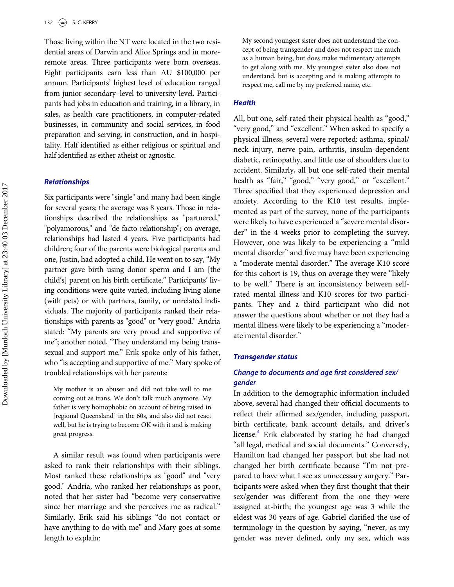Those living within the NT were located in the two residential areas of Darwin and Alice Springs and in moreremote areas. Three participants were born overseas. Eight participants earn less than AU \$100,000 per annum. Participants' highest level of education ranged from junior secondary–level to university level. Participants had jobs in education and training, in a library, in sales, as health care practitioners, in computer-related businesses, in community and social services, in food preparation and serving, in construction, and in hospitality. Half identified as either religious or spiritual and half identified as either atheist or agnostic.

## Relationships

Six participants were "single" and many had been single for several years; the average was 8 years. Those in relationships described the relationships as "partnered," "polyamorous," and "de facto relationship"; on average, relationships had lasted 4 years. Five participants had children; four of the parents were biological parents and one, Justin, had adopted a child. He went on to say, "My partner gave birth using donor sperm and I am [the child's] parent on his birth certificate." Participants' living conditions were quite varied, including living alone (with pets) or with partners, family, or unrelated individuals. The majority of participants ranked their relationships with parents as "good" or "very good." Andria stated: "My parents are very proud and supportive of me"; another noted, "They understand my being transsexual and support me." Erik spoke only of his father, who "is accepting and supportive of me." Mary spoke of troubled relationships with her parents:

My mother is an abuser and did not take well to me coming out as trans. We don't talk much anymore. My father is very homophobic on account of being raised in [regional Queensland] in the 60s, and also did not react well, but he is trying to become OK with it and is making great progress.

A similar result was found when participants were asked to rank their relationships with their siblings. Most ranked these relationships as "good" and "very good." Andria, who ranked her relationships as poor, noted that her sister had "become very conservative since her marriage and she perceives me as radical." Similarly, Erik said his siblings "do not contact or have anything to do with me" and Mary goes at some length to explain:

My second youngest sister does not understand the concept of being transgender and does not respect me much as a human being, but does make rudimentary attempts to get along with me. My youngest sister also does not understand, but is accepting and is making attempts to respect me, call me by my preferred name, etc.

## **Health**

All, but one, self-rated their physical health as "good," "very good," and "excellent." When asked to specify a physical illness, several were reported: asthma, spinal/ neck injury, nerve pain, arthritis, insulin-dependent diabetic, retinopathy, and little use of shoulders due to accident. Similarly, all but one self-rated their mental health as "fair," "good," "very good," or "excellent." Three specified that they experienced depression and anxiety. According to the K10 test results, implemented as part of the survey, none of the participants were likely to have experienced a "severe mental disorder" in the 4 weeks prior to completing the survey. However, one was likely to be experiencing a "mild mental disorder" and five may have been experiencing a "moderate mental disorder." The average K10 score for this cohort is 19, thus on average they were "likely to be well." There is an inconsistency between selfrated mental illness and K10 scores for two participants. They and a third participant who did not answer the questions about whether or not they had a mental illness were likely to be experiencing a "moderate mental disorder."

## Transgender status

## Change to documents and age first considered sex/ gender

In addition to the demographic information included above, several had changed their official documents to reflect their affirmed sex/gender, including passport, birth certificate, bank account details, and driver's license.<sup>[4](#page-10-17)</sup> Erik elaborated by stating he had changed "all legal, medical and social documents." Conversely, Hamilton had changed her passport but she had not changed her birth certificate because "I'm not prepared to have what I see as unnecessary surgery." Participants were asked when they first thought that their sex/gender was different from the one they were assigned at-birth; the youngest age was 3 while the eldest was 30 years of age. Gabriel clarified the use of terminology in the question by saying, "never, as my gender was never defined, only my sex, which was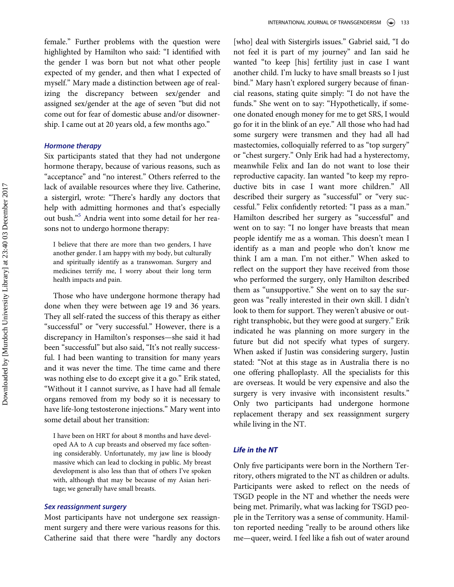female." Further problems with the question were highlighted by Hamilton who said: "I identified with the gender I was born but not what other people expected of my gender, and then what I expected of myself." Mary made a distinction between age of realizing the discrepancy between sex/gender and assigned sex/gender at the age of seven "but did not come out for fear of domestic abuse and/or disownership. I came out at 20 years old, a few months ago."

## Hormone therapy

Six participants stated that they had not undergone hormone therapy, because of various reasons, such as "acceptance" and "no interest." Others referred to the lack of available resources where they live. Catherine, a sistergirl, wrote: "There's hardly any doctors that help with admitting hormones and that's especially out bush." [5](#page-10-18) Andria went into some detail for her reasons not to undergo hormone therapy:

I believe that there are more than two genders, I have another gender. I am happy with my body, but culturally and spiritually identify as a transwoman. Surgery and medicines terrify me, I worry about their long term health impacts and pain.

Those who have undergone hormone therapy had done when they were between age 19 and 36 years. They all self-rated the success of this therapy as either "successful" or "very successful." However, there is a discrepancy in Hamilton's responses—she said it had been "successful" but also said, "It's not really successful. I had been wanting to transition for many years and it was never the time. The time came and there was nothing else to do except give it a go." Erik stated, "Without it I cannot survive, as I have had all female organs removed from my body so it is necessary to have life-long testosterone injections." Mary went into some detail about her transition:

I have been on HRT for about 8 months and have developed AA to A cup breasts and observed my face softening considerably. Unfortunately, my jaw line is bloody massive which can lead to clocking in public. My breast development is also less than that of others I've spoken with, although that may be because of my Asian heritage; we generally have small breasts.

#### Sex reassignment surgery

Most participants have not undergone sex reassignment surgery and there were various reasons for this. Catherine said that there were "hardly any doctors

[who] deal with Sistergirls issues." Gabriel said, "I do not feel it is part of my journey" and Ian said he wanted "to keep [his] fertility just in case I want another child. I'm lucky to have small breasts so I just bind." Mary hasn't explored surgery because of financial reasons, stating quite simply: "I do not have the funds." She went on to say: "Hypothetically, if someone donated enough money for me to get SRS, I would go for it in the blink of an eye." All those who had had some surgery were transmen and they had all had mastectomies, colloquially referred to as "top surgery" or "chest surgery." Only Erik had had a hysterectomy, meanwhile Felix and Ian do not want to lose their reproductive capacity. Ian wanted "to keep my reproductive bits in case I want more children." All described their surgery as "successful" or "very successful." Felix confidently retorted: "I pass as a man." Hamilton described her surgery as "successful" and went on to say: "I no longer have breasts that mean people identify me as a woman. This doesn't mean I identify as a man and people who don't know me think I am a man. I'm not either." When asked to reflect on the support they have received from those who performed the surgery, only Hamilton described them as "unsupportive." She went on to say the surgeon was "really interested in their own skill. I didn't look to them for support. They weren't abusive or outright transphobic, but they were good at surgery." Erik indicated he was planning on more surgery in the future but did not specify what types of surgery. When asked if Justin was considering surgery, Justin stated: "Not at this stage as in Australia there is no one offering phalloplasty. All the specialists for this are overseas. It would be very expensive and also the surgery is very invasive with inconsistent results." Only two participants had undergone hormone replacement therapy and sex reassignment surgery while living in the NT.

## Life in the NT

Only five participants were born in the Northern Territory, others migrated to the NT as children or adults. Participants were asked to reflect on the needs of TSGD people in the NT and whether the needs were being met. Primarily, what was lacking for TSGD people in the Territory was a sense of community. Hamilton reported needing "really to be around others like me—queer, weird. I feel like a fish out of water around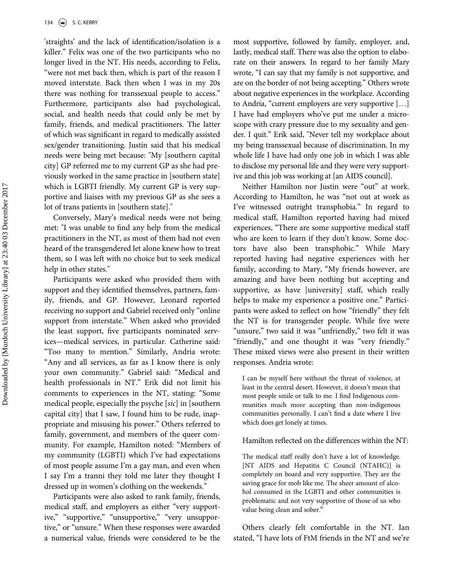'straights' and the lack of identification/isolation is a killer." Felix was one of the two participants who no longer lived in the NT. His needs, according to Felix, "were not met back then, which is part of the reason I moved interstate. Back then when I was in my 20s there was nothing for transsexual people to access." Furthermore, participants also had psychological, social, and health needs that could only be met by family, friends, and medical practitioners. The latter of which was significant in regard to medically assisted sex/gender transitioning. Justin said that his medical needs were being met because: "My [southern capital city] GP referred me to my current GP as she had previously worked in the same practice in [southern state] which is LGBTI friendly. My current GP is very supportive and liaises with my previous GP as she sees a lot of trans patients in [southern state]."

Conversely, Mary's medical needs were not being met: "I was unable to find any help from the medical practitioners in the NT, as most of them had not even heard of the transgendered let alone knew how to treat them, so I was left with no choice but to seek medical help in other states."

Participants were asked who provided them with support and they identified themselves, partners, family, friends, and GP. However, Leonard reported receiving no support and Gabriel received only "online support from interstate." When asked who provided the least support, five participants nominated services—medical services, in particular. Catherine said: "Too many to mention." Similarly, Andria wrote: "Any and all services, as far as I know there is only your own community." Gabriel said: "Medical and health professionals in NT." Erik did not limit his comments to experiences in the NT, stating: "Some medical people, especially the psyche [sic] in [southern capital city] that I saw, I found him to be rude, inappropriate and misusing his power." Others referred to family, government, and members of the queer community. For example, Hamilton noted: "Members of my community (LGBTI) which I've had expectations of most people assume I'm a gay man, and even when I say I'm a tranni they told me later they thought I dressed up in women's clothing on the weekends."

Participants were also asked to rank family, friends, medical staff, and employers as either "very supportive," "supportive," "unsupportive," "very unsupportive," or "unsure." When these responses were awarded a numerical value, friends were considered to be the most supportive, followed by family, employer, and, lastly, medical staff. There was also the option to elaborate on their answers. In regard to her family Mary wrote, "I can say that my family is not supportive, and are on the border of not being accepting." Others wrote about negative experiences in the workplace. According to Andria, "current employers are very supportive […] I have had employers who've put me under a microscope with crazy pressure due to my sexuality and gender. I quit." Erik said, "Never tell my workplace about my being transsexual because of discrimination. In my whole life I have had only one job in which I was able to disclose my personal life and they were very supportive and this job was working at [an AIDS council].

Neither Hamilton nor Justin were "out" at work. According to Hamilton, he was "not out at work as I've witnessed outright transphobia." In regard to medical staff, Hamilton reported having had mixed experiences, "There are some supportive medical staff who are keen to learn if they don't know. Some doctors have also been transphobic." While Mary reported having had negative experiences with her family, according to Mary, "My friends however, are amazing and have been nothing but accepting and supportive, as have [university] staff, which really helps to make my experience a positive one." Participants were asked to reflect on how "friendly" they felt the NT is for transgender people. While five were "unsure," two said it was "unfriendly," two felt it was "friendly," and one thought it was "very friendly." These mixed views were also present in their written responses. Andria wrote:

I can be myself here without the threat of violence, at least in the central desert. However, it doesn't mean that most people smile or talk to me. I find Indigenous communities much more accepting than non-indigenous communities personally. I can't find a date where I live which does get lonely at times.

## Hamilton reflected on the differences within the NT:

The medical staff really don't have a lot of knowledge. [NT AIDS and Hepatitis C Council (NTAHC)] is completely on board and very supportive. They are the saving grace for mob like me. The sheer amount of alcohol consumed in the LGBTI and other communities is problematic and not very supportive of those of us who value being clean and sober.<sup>6</sup>

Others clearly felt comfortable in the NT. Ian stated, "I have lots of FtM friends in the NT and we're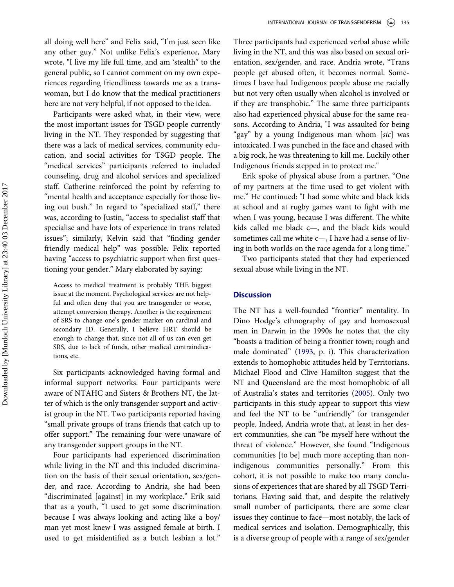all doing well here" and Felix said, "I'm just seen like any other guy." Not unlike Felix's experience, Mary wrote, "I live my life full time, and am 'stealth" to the general public, so I cannot comment on my own experiences regarding friendliness towards me as a transwoman, but I do know that the medical practitioners here are not very helpful, if not opposed to the idea.

Participants were asked what, in their view, were the most important issues for TSGD people currently living in the NT. They responded by suggesting that there was a lack of medical services, community education, and social activities for TSGD people. The "medical services" participants referred to included counseling, drug and alcohol services and specialized staff. Catherine reinforced the point by referring to "mental health and acceptance especially for those living out bush." In regard to "specialized staff," there was, according to Justin, "access to specialist staff that specialise and have lots of experience in trans related issues"; similarly, Kelvin said that "finding gender friendly medical help" was possible. Felix reported having "access to psychiatric support when first questioning your gender." Mary elaborated by saying:

Access to medical treatment is probably THE biggest issue at the moment. Psychological services are not helpful and often deny that you are transgender or worse, attempt conversion therapy. Another is the requirement of SRS to change one's gender marker on cardinal and secondary ID. Generally, I believe HRT should be enough to change that, since not all of us can even get SRS, due to lack of funds, other medical contraindications, etc.

Six participants acknowledged having formal and informal support networks. Four participants were aware of NTAHC and Sisters & Brothers NT, the latter of which is the only transgender support and activist group in the NT. Two participants reported having "small private groups of trans friends that catch up to offer support." The remaining four were unaware of any transgender support groups in the NT.

Four participants had experienced discrimination while living in the NT and this included discrimination on the basis of their sexual orientation, sex/gender, and race. According to Andria, she had been "discriminated [against] in my workplace." Erik said that as a youth, "I used to get some discrimination because I was always looking and acting like a boy/ man yet most knew I was assigned female at birth. I used to get misidentified as a butch lesbian a lot." Three participants had experienced verbal abuse while living in the NT, and this was also based on sexual orientation, sex/gender, and race. Andria wrote, "Trans people get abused often, it becomes normal. Sometimes I have had Indigenous people abuse me racially but not very often usually when alcohol is involved or if they are transphobic." The same three participants also had experienced physical abuse for the same reasons. According to Andria, "I was assaulted for being "gay" by a young Indigenous man whom [sic] was intoxicated. I was punched in the face and chased with a big rock, he was threatening to kill me. Luckily other Indigenous friends stepped in to protect me."

Erik spoke of physical abuse from a partner, "One of my partners at the time used to get violent with me." He continued: "I had some white and black kids at school and at rugby games want to fight with me when I was young, because I was different. The white kids called me black c—, and the black kids would sometimes call me white c-, I have had a sense of living in both worlds on the race agenda for a long time."

Two participants stated that they had experienced sexual abuse while living in the NT.

## **Discussion**

The NT has a well-founded "frontier" mentality. In Dino Hodge's ethnography of gay and homosexual men in Darwin in the 1990s he notes that the city "boasts a tradition of being a frontier town; rough and male dominated" ([1993,](#page-10-20) p. i). This characterization extends to homophobic attitudes held by Territorians. Michael Flood and Clive Hamilton suggest that the NT and Queensland are the most homophobic of all of Australia's states and territories [\(2005](#page-10-21)). Only two participants in this study appear to support this view and feel the NT to be "unfriendly" for transgender people. Indeed, Andria wrote that, at least in her desert communities, she can "be myself here without the threat of violence." However, she found "Indigenous communities [to be] much more accepting than nonindigenous communities personally." From this cohort, it is not possible to make too many conclusions of experiences that are shared by all TSGD Territorians. Having said that, and despite the relatively small number of participants, there are some clear issues they continue to face—most notably, the lack of medical services and isolation. Demographically, this is a diverse group of people with a range of sex/gender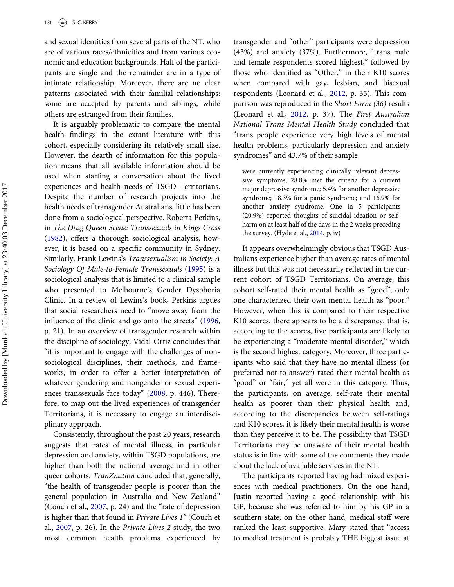and sexual identities from several parts of the NT, who are of various races/ethnicities and from various economic and education backgrounds. Half of the participants are single and the remainder are in a type of intimate relationship. Moreover, there are no clear patterns associated with their familial relationships: some are accepted by parents and siblings, while others are estranged from their families.

It is arguably problematic to compare the mental health findings in the extant literature with this cohort, especially considering its relatively small size. However, the dearth of information for this population means that all available information should be used when starting a conversation about the lived experiences and health needs of TSGD Territorians. Despite the number of research projects into the health needs of transgender Australians, little has been done from a sociological perspective. Roberta Perkins, in The Drag Queen Scene: Transsexuals in Kings Cross ([1982\)](#page-11-5), offers a thorough sociological analysis, however, it is based on a specific community in Sydney. Similarly, Frank Lewins's Transsexualism in Society: A Sociology Of Male-to-Female Transsexuals [\(1995](#page-11-4)) is a sociological analysis that is limited to a clinical sample who presented to Melbourne's Gender Dysphoria Clinic. In a review of Lewins's book, Perkins argues that social researchers need to "move away from the influence of the clinic and go onto the streets" ([1996,](#page-11-12) p. 21). In an overview of transgender research within the discipline of sociology, Vidal-Ortiz concludes that "it is important to engage with the challenges of nonsociological disciplines, their methods, and frameworks, in order to offer a better interpretation of whatever gendering and nongender or sexual experiences transsexuals face today" ([2008,](#page-11-13) p. 446). Therefore, to map out the lived experiences of transgender Territorians, it is necessary to engage an interdisciplinary approach.

Consistently, throughout the past 20 years, research suggests that rates of mental illness, in particular depression and anxiety, within TSGD populations, are higher than both the national average and in other queer cohorts. TranZnation concluded that, generally, "the health of transgender people is poorer than the general population in Australia and New Zealand" (Couch et al., [2007](#page-10-7), p. 24) and the "rate of depression is higher than that found in Private Lives 1" (Couch et al., [2007,](#page-10-7) p. 26). In the Private Lives 2 study, the two most common health problems experienced by transgender and "other" participants were depression (43%) and anxiety (37%). Furthermore, "trans male and female respondents scored highest," followed by those who identified as "Other," in their K10 scores when compared with gay, lesbian, and bisexual respondents (Leonard et al., [2012](#page-11-3), p. 35). This comparison was reproduced in the Short Form (36) results (Leonard et al., [2012](#page-11-3), p. 37). The First Australian National Trans Mental Health Study concluded that "trans people experience very high levels of mental health problems, particularly depression and anxiety syndromes" and 43.7% of their sample

were currently experiencing clinically relevant depressive symptoms; 28.8% met the criteria for a current major depressive syndrome; 5.4% for another depressive syndrome; 18.3% for a panic syndrome; and 16.9% for another anxiety syndrome. One in 5 participants (20.9%) reported thoughts of suicidal ideation or selfharm on at least half of the days in the 2 weeks preceding the survey. (Hyde et al., [2014,](#page-10-8) p. iv)

It appears overwhelmingly obvious that TSGD Australians experience higher than average rates of mental illness but this was not necessarily reflected in the current cohort of TSGD Territorians. On average, this cohort self-rated their mental health as "good"; only one characterized their own mental health as "poor." However, when this is compared to their respective K10 scores, there appears to be a discrepancy, that is, according to the scores, five participants are likely to be experiencing a "moderate mental disorder," which is the second highest category. Moreover, three participants who said that they have no mental illness (or preferred not to answer) rated their mental health as "good" or "fair," yet all were in this category. Thus, the participants, on average, self-rate their mental health as poorer than their physical health and, according to the discrepancies between self-ratings and K10 scores, it is likely their mental health is worse than they perceive it to be. The possibility that TSGD Territorians may be unaware of their mental health status is in line with some of the comments they made about the lack of available services in the NT.

The participants reported having had mixed experiences with medical practitioners. On the one hand, Justin reported having a good relationship with his GP, because she was referred to him by his GP in a southern state; on the other hand, medical staff were ranked the least supportive. Mary stated that "access to medical treatment is probably THE biggest issue at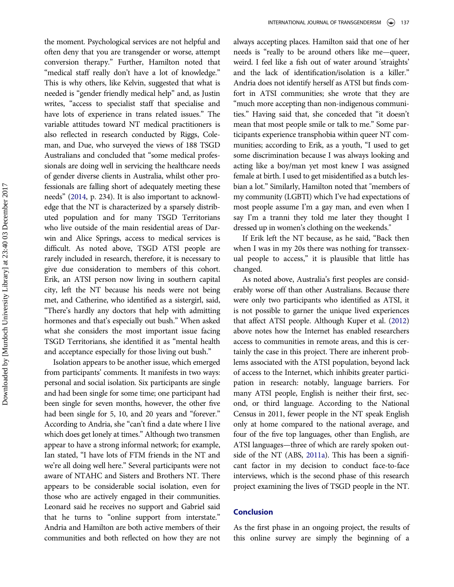the moment. Psychological services are not helpful and often deny that you are transgender or worse, attempt conversion therapy." Further, Hamilton noted that "medical staff really don't have a lot of knowledge." This is why others, like Kelvin, suggested that what is needed is "gender friendly medical help" and, as Justin writes, "access to specialist staff that specialise and have lots of experience in trans related issues." The variable attitudes toward NT medical practitioners is also reflected in research conducted by Riggs, Coleman, and Due, who surveyed the views of 188 TSGD Australians and concluded that "some medical professionals are doing well in servicing the healthcare needs of gender diverse clients in Australia, whilst other professionals are falling short of adequately meeting these needs" [\(2014,](#page-11-14) p. 234). It is also important to acknowledge that the NT is characterized by a sparsely distributed population and for many TSGD Territorians who live outside of the main residential areas of Darwin and Alice Springs, access to medical services is difficult. As noted above, TSGD ATSI people are rarely included in research, therefore, it is necessary to give due consideration to members of this cohort. Erik, an ATSI person now living in southern capital city, left the NT because his needs were not being met, and Catherine, who identified as a sistergirl, said,

"There's hardly any doctors that help with admitting hormones and that's especially out bush." When asked what she considers the most important issue facing TSGD Territorians, she identified it as "mental health and acceptance especially for those living out bush." Isolation appears to be another issue, which emerged

from participants' comments. It manifests in two ways: personal and social isolation. Six participants are single and had been single for some time; one participant had been single for seven months, however, the other five had been single for 5, 10, and 20 years and "forever." According to Andria, she "can't find a date where I live which does get lonely at times." Although two transmen appear to have a strong informal network; for example, Ian stated, "I have lots of FTM friends in the NT and we're all doing well here." Several participants were not aware of NTAHC and Sisters and Brothers NT. There appears to be considerable social isolation, even for those who are actively engaged in their communities. Leonard said he receives no support and Gabriel said that he turns to "online support from interstate." Andria and Hamilton are both active members of their communities and both reflected on how they are not always accepting places. Hamilton said that one of her needs is "really to be around others like me—queer, weird. I feel like a fish out of water around 'straights' and the lack of identification/isolation is a killer." Andria does not identify herself as ATSI but finds comfort in ATSI communities; she wrote that they are "much more accepting than non-indigenous communities." Having said that, she conceded that "it doesn't mean that most people smile or talk to me." Some participants experience transphobia within queer NT communities; according to Erik, as a youth, "I used to get some discrimination because I was always looking and acting like a boy/man yet most knew I was assigned female at birth. I used to get misidentified as a butch lesbian a lot." Similarly, Hamilton noted that "members of my community (LGBTI) which I've had expectations of most people assume I'm a gay man, and even when I say I'm a tranni they told me later they thought I dressed up in women's clothing on the weekends."

If Erik left the NT because, as he said, "Back then when I was in my 20s there was nothing for transsexual people to access," it is plausible that little has changed.

As noted above, Australia's first peoples are considerably worse off than other Australians. Because there were only two participants who identified as ATSI, it is not possible to garner the unique lived experiences that affect ATSI people. Although Kuper et al. [\(2012](#page-11-10)) above notes how the Internet has enabled researchers access to communities in remote areas, and this is certainly the case in this project. There are inherent problems associated with the ATSI population, beyond lack of access to the Internet, which inhibits greater participation in research: notably, language barriers. For many ATSI people, English is neither their first, second, or third language. According to the National Census in 2011, fewer people in the NT speak English only at home compared to the national average, and four of the five top languages, other than English, are ATSI languages—three of which are rarely spoken outside of the NT (ABS, [2011a](#page-10-11)). This has been a significant factor in my decision to conduct face-to-face interviews, which is the second phase of this research project examining the lives of TSGD people in the NT.

## **Conclusion**

As the first phase in an ongoing project, the results of this online survey are simply the beginning of a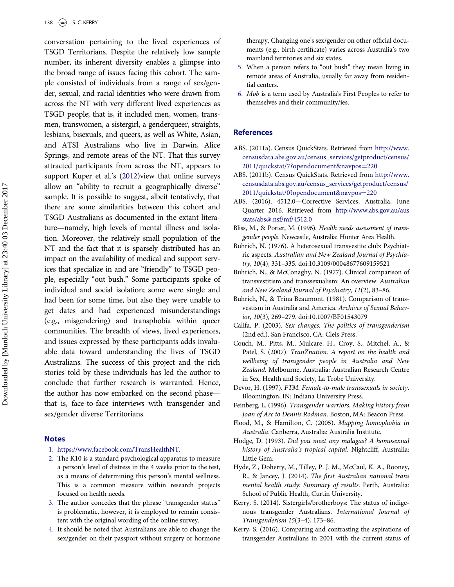<span id="page-10-19"></span><span id="page-10-18"></span><span id="page-10-13"></span><span id="page-10-12"></span><span id="page-10-11"></span><span id="page-10-3"></span>conversation pertaining to the lived experiences of TSGD Territorians. Despite the relatively low sample number, its inherent diversity enables a glimpse into the broad range of issues facing this cohort. The sample consisted of individuals from a range of sex/gender, sexual, and racial identities who were drawn from across the NT with very different lived experiences as TSGD people; that is, it included men, women, transmen, transwomen, a sistergirl, a genderqueer, straights, lesbians, bisexuals, and queers, as well as White, Asian, and ATSI Australians who live in Darwin, Alice Springs, and remote areas of the NT. That this survey attracted participants from across the NT, appears to support Kuper et al.'s ([2012](#page-11-10))view that online surveys allow an "ability to recruit a geographically diverse" sample. It is possible to suggest, albeit tentatively, that there are some similarities between this cohort and TSGD Australians as documented in the extant literature—namely, high levels of mental illness and isolation. Moreover, the relatively small population of the NT and the fact that it is sparsely distributed has an impact on the availability of medical and support services that specialize in and are "friendly" to TSGD people, especially "out bush." Some participants spoke of individual and social isolation; some were single and had been for some time, but also they were unable to get dates and had experienced misunderstandings (e.g., misgendering) and transphobia within queer communities. The breadth of views, lived experiences, and issues expressed by these participants adds invaluable data toward understanding the lives of TSGD Australians. The success of this project and the rich stories told by these individuals has led the author to conclude that further research is warranted. Hence, the author has now embarked on the second phase that is, face-to-face interviews with transgender and sex/gender diverse Territorians.

## <span id="page-10-21"></span><span id="page-10-20"></span><span id="page-10-15"></span><span id="page-10-14"></span><span id="page-10-7"></span><span id="page-10-6"></span><span id="page-10-5"></span><span id="page-10-4"></span><span id="page-10-2"></span><span id="page-10-1"></span><span id="page-10-0"></span>**Notes**

- 1. <https://www.facebook.com/TransHealthNT>.
- <span id="page-10-8"></span>2. The K10 is a standard psychological apparatus to measure a person's level of distress in the 4 weeks prior to the test, as a means of determining this person's mental wellness. This is a common measure within research projects focused on health needs.
- <span id="page-10-16"></span><span id="page-10-10"></span>3. The author concedes that the phrase "transgender status" is problematic, however, it is employed to remain consistent with the original wording of the online survey.
- <span id="page-10-17"></span><span id="page-10-9"></span>4. It should be noted that Australians are able to change the sex/gender on their passport without surgery or hormone

therapy. Changing one's sex/gender on other official documents (e.g., birth certificate) varies across Australia's two mainland territories and six states.

- 5. When a person refers to "out bush" they mean living in remote areas of Australia, usually far away from residential centers.
- 6. Mob is a term used by Australia's First Peoples to refer to themselves and their community/ies.

### References

- ABS. (2011a). Census QuickStats. Retrieved from [http://www.](http://www.censusdata.abs.gov.au/census_services/getproduct/census/2011/quickstat/7?opendocument&navpos=220) [censusdata.abs.gov.au/census\\_services/getproduct/census/](http://www.censusdata.abs.gov.au/census_services/getproduct/census/2011/quickstat/7?opendocument&navpos=220) [2011/quickstat/7?opendocument&navpos](http://www.censusdata.abs.gov.au/census_services/getproduct/census/2011/quickstat/7?opendocument&navpos=220)=[220](http://www.censusdata.abs.gov.au/census_services/getproduct/census/2011/quickstat/7?opendocument&navpos=220)
- ABS. (2011b). Census QuickStats. Retrieved from [http://www.](http://www.censusdata.abs.gov.au/census_services/getproduct/census/2011/quickstat/0?opendocument&navpos=220) [censusdata.abs.gov.au/census\\_services/getproduct/census/](http://www.censusdata.abs.gov.au/census_services/getproduct/census/2011/quickstat/0?opendocument&navpos=220) [2011/quickstat/0](http://www.censusdata.abs.gov.au/census_services/getproduct/census/2011/quickstat/0?opendocument&navpos=220)?[opendocument&navpos](http://www.censusdata.abs.gov.au/census_services/getproduct/census/2011/quickstat/0?opendocument&navpos=220)=[220](http://www.censusdata.abs.gov.au/census_services/getproduct/census/2011/quickstat/0?opendocument&navpos=220)
- ABS. (2016). 4512.0—Corrective Services, Australia, June Quarter 2016. Retrieved from [http://www.abs.gov.au/aus](http://www.abs.gov.au/ausstats/abs@.nsf/mf/4512.0) [stats/abs@.nsf/mf/4512.0](http://www.abs.gov.au/ausstats/abs@.nsf/mf/4512.0)
- Bliss, M., & Porter, M. (1996). Health needs assessment of transgender people. Newcastle, Australia: Hunter Area Health.
- Buhrich, N. (1976). A heterosexual transvestite club: Psychiatric aspects. Australian and New Zealand Journal of Psychiatry, 10(4), 331–335. doi:[10.3109/00048677609159521](http://dx.doi.org/10.3109/00048677609159521)
- Buhrich, N., & McConaghy, N. (1977). Clinical comparison of transvestitism and transsexualism: An overview. Australian and New Zealand Journal of Psychiatry, 11(2), 83–86.
- Buhrich, N., & Trina Beaumont. (1981). Comparison of transvestism in Australia and America. Archives of Sexual Behavior, 10(3), 269–279. doi:[10.1007/BF01543079](http://dx.doi.org/10.1007/BF01543079)
- Califa, P. (2003). Sex changes. The politics of transgenderism (2nd ed.). San Francisco, CA: Cleis Press.
- Couch, M., Pitts, M., Mulcare, H., Croy, S., Mitchel, A., & Patel, S. (2007). TranZnation. A report on the health and wellbeing of transgender people in Australia and New Zealand. Melbourne, Australia: Australian Research Centre in Sex, Health and Society, La Trobe University.
- Devor, H. (1997). FTM. Female-to-male transsexuals in society. Bloomington, IN: Indiana University Press.
- Feinberg, L. (1996). Transgender warriors. Making history from Joan of Arc to Dennis Rodman. Boston, MA: Beacon Press.
- Flood, M., & Hamilton, C. (2005). Mapping homophobia in Australia. Canberra, Australia: Australia Institute.
- Hodge, D. (1993). Did you meet any malagas? A homosexual history of Australia's tropical capital. Nightcliff, Australia: Little Gem.
- Hyde, Z., Doherty, M., Tilley, P. J. M., McCaul, K. A., Rooney, R., & Jancey, J. (2014). The first Australian national trans mental health study: Summary of results. Perth, Australia: School of Public Health, Curtin University.
- Kerry, S. (2014). Sistergirls/brotherboys: The status of indigenous transgender Australians. International Journal of Transgenderism 15(3–4), 173–86.
- Kerry, S. (2016). Comparing and contrasting the aspirations of transgender Australians in 2001 with the current status of